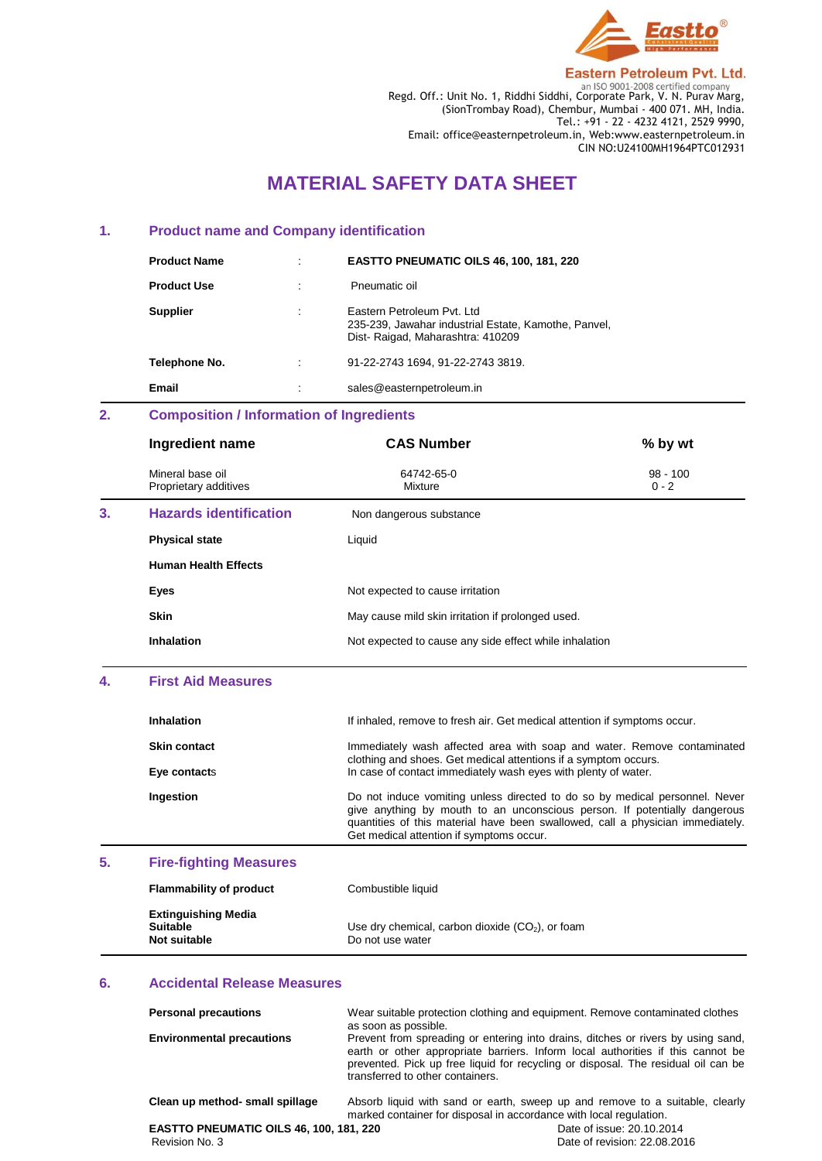

**Eastern Petroleum Pvt. Ltd.** Regd. Off.: Unit No. 1, Riddhi Siddhi, Corporate Park, V. N. Purav Marg,

(SionTrombay Road), Chembur, Mumbai - 400 071. MH, India. Tel.: +91 - 22 - 4232 4121, 2529 9990, Email: office@easternpetroleum.in, Web:www.easternpetroleum.in CIN NO:U24100MH1964PTC012931

# **MATERIAL SAFETY DATA SHEET**

### **1. Product name and Company identification**

| <b>Product Name</b> | ٠ | <b>EASTTO PNEUMATIC OILS 46, 100, 181, 220</b>                                                                          |
|---------------------|---|-------------------------------------------------------------------------------------------------------------------------|
| <b>Product Use</b>  |   | Pneumatic oil                                                                                                           |
| <b>Supplier</b>     |   | Eastern Petroleum Pyt. Ltd.<br>235-239, Jawahar industrial Estate, Kamothe, Panvel,<br>Dist-Raigad, Maharashtra: 410209 |
| Telephone No.       | ٠ | 91-22-2743 1694. 91-22-2743 3819.                                                                                       |
| Email               |   | sales@easternpetroleum.in                                                                                               |

# **2. Composition / Information of Ingredients**

|    | Ingredient name                           | <b>CAS Number</b>                                      | % by wt               |
|----|-------------------------------------------|--------------------------------------------------------|-----------------------|
|    | Mineral base oil<br>Proprietary additives | 64742-65-0<br>Mixture                                  | $98 - 100$<br>$0 - 2$ |
| 3. | <b>Hazards identification</b>             | Non dangerous substance                                |                       |
|    | <b>Physical state</b>                     | Liquid                                                 |                       |
|    | <b>Human Health Effects</b>               |                                                        |                       |
|    | Eyes                                      | Not expected to cause irritation                       |                       |
|    | <b>Skin</b>                               | May cause mild skin irritation if prolonged used.      |                       |
|    | Inhalation                                | Not expected to cause any side effect while inhalation |                       |

## **4. First Aid Measures**

|    | <b>Inhalation</b>             | If inhaled, remove to fresh air. Get medical attention if symptoms occur.                                                                                                                                                                                                              |
|----|-------------------------------|----------------------------------------------------------------------------------------------------------------------------------------------------------------------------------------------------------------------------------------------------------------------------------------|
|    | <b>Skin contact</b>           | Immediately wash affected area with soap and water. Remove contaminated                                                                                                                                                                                                                |
|    | Eye contacts                  | clothing and shoes. Get medical attentions if a symptom occurs.<br>In case of contact immediately wash eyes with plenty of water.                                                                                                                                                      |
|    | Ingestion                     | Do not induce vomiting unless directed to do so by medical personnel. Never<br>give anything by mouth to an unconscious person. If potentially dangerous<br>quantities of this material have been swallowed, call a physician immediately.<br>Get medical attention if symptoms occur. |
| 5. | <b>Fire-fighting Measures</b> |                                                                                                                                                                                                                                                                                        |

| <b>Flammability of product</b>                                | Combustible liquid                                                     |
|---------------------------------------------------------------|------------------------------------------------------------------------|
| <b>Extinguishing Media</b><br><b>Suitable</b><br>Not suitable | Use dry chemical, carbon dioxide $(CO2)$ , or foam<br>Do not use water |

### **6. Accidental Release Measures**

| <b>Personal precautions</b><br><b>Environmental precautions</b> | Wear suitable protection clothing and equipment. Remove contaminated clothes<br>as soon as possible.<br>Prevent from spreading or entering into drains, ditches or rivers by using sand,<br>earth or other appropriate barriers. Inform local authorities if this cannot be<br>prevented. Pick up free liquid for recycling or disposal. The residual oil can be<br>transferred to other containers. |  |
|-----------------------------------------------------------------|------------------------------------------------------------------------------------------------------------------------------------------------------------------------------------------------------------------------------------------------------------------------------------------------------------------------------------------------------------------------------------------------------|--|
| Clean up method- small spillage                                 | Absorb liquid with sand or earth, sweep up and remove to a suitable, clearly<br>marked container for disposal in accordance with local regulation.                                                                                                                                                                                                                                                   |  |

**EASTTO PNEUMATIC OILS 46, 100, 181, 220**<br>Revision No. 3 Date of irevision: 22.08.20

Date of revision: 22.08.2016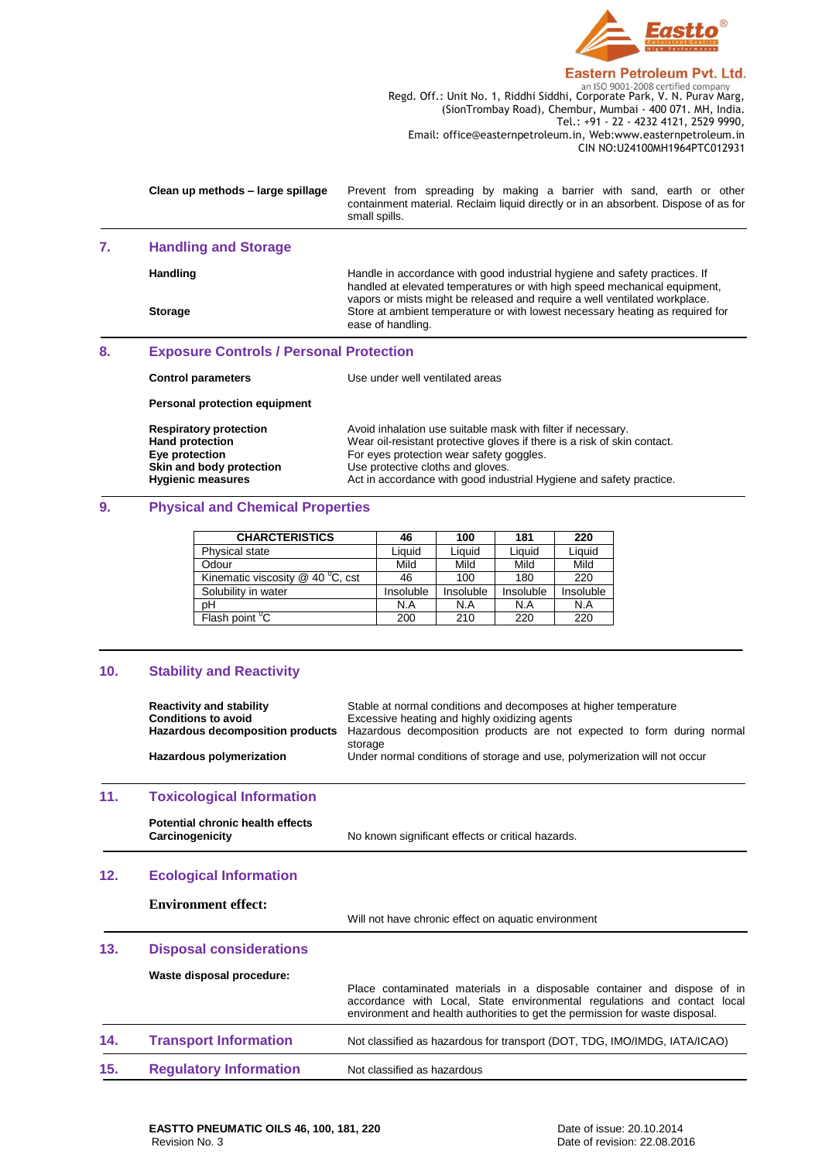

Regd. Off.: Unit No. 1, Riddhi Siddhi, Corporate Park, V. N. Purav Marg, (SionTrombay Road), Chembur, Mumbai - 400 071. MH, India. Tel.: +91 - 22 - 4232 4121, 2529 9990, Email: office@easternpetroleum.in, Web:www.easternpetroleum.in CIN NO:U24100MH1964PTC012931

|    | Clean up methods - large spillage                                                                                                 | Prevent from spreading by making a barrier with sand, earth or other<br>containment material. Reclaim liquid directly or in an absorbent. Dispose of as for<br>small spills.                                                                                                                     |  |  |
|----|-----------------------------------------------------------------------------------------------------------------------------------|--------------------------------------------------------------------------------------------------------------------------------------------------------------------------------------------------------------------------------------------------------------------------------------------------|--|--|
| 7. | <b>Handling and Storage</b>                                                                                                       |                                                                                                                                                                                                                                                                                                  |  |  |
|    | Handling                                                                                                                          | Handle in accordance with good industrial hygiene and safety practices. If<br>handled at elevated temperatures or with high speed mechanical equipment,<br>vapors or mists might be released and require a well ventilated workplace.                                                            |  |  |
|    | <b>Storage</b>                                                                                                                    | Store at ambient temperature or with lowest necessary heating as required for<br>ease of handling.                                                                                                                                                                                               |  |  |
| 8. | <b>Exposure Controls / Personal Protection</b>                                                                                    |                                                                                                                                                                                                                                                                                                  |  |  |
|    | <b>Control parameters</b>                                                                                                         | Use under well ventilated areas                                                                                                                                                                                                                                                                  |  |  |
|    | Personal protection equipment                                                                                                     |                                                                                                                                                                                                                                                                                                  |  |  |
|    | <b>Respiratory protection</b><br><b>Hand protection</b><br>Eye protection<br>Skin and body protection<br><b>Hygienic measures</b> | Avoid inhalation use suitable mask with filter if necessary.<br>Wear oil-resistant protective gloves if there is a risk of skin contact.<br>For eyes protection wear safety goggles.<br>Use protective cloths and gloves.<br>Act in accordance with good industrial Hygiene and safety practice. |  |  |

# **9. Physical and Chemical Properties**

| <b>CHARCTERISTICS</b>                  | 46        | 100       | 181       | 220       |
|----------------------------------------|-----------|-----------|-----------|-----------|
| Physical state                         | Liauid    | Liauid    | Liauid    | Liquid    |
| Odour                                  | Mild      | Mild      | Mild      | Mild      |
| Kinematic viscosity $@$ 40 $^0$ C, cst | 46        | 100       | 180       | 220       |
| Solubility in water                    | Insoluble | Insoluble | Insoluble | Insoluble |
| pH                                     | N.A       | N.A       | N.A       | N.A       |
| Flash point <sup>"</sup> C             | 200       | 210       | 220       | 220       |

# **10. Stability and Reactivity**

|     | <b>Reactivity and stability</b><br><b>Conditions to avoid</b><br><b>Hazardous decomposition products</b> | Stable at normal conditions and decomposes at higher temperature<br>Excessive heating and highly oxidizing agents<br>Hazardous decomposition products are not expected to form during normal                                         |
|-----|----------------------------------------------------------------------------------------------------------|--------------------------------------------------------------------------------------------------------------------------------------------------------------------------------------------------------------------------------------|
|     | Hazardous polymerization                                                                                 | storage<br>Under normal conditions of storage and use, polymerization will not occur                                                                                                                                                 |
| 11. | <b>Toxicological Information</b>                                                                         |                                                                                                                                                                                                                                      |
|     | Potential chronic health effects<br>Carcinogenicity                                                      | No known significant effects or critical hazards.                                                                                                                                                                                    |
| 12. | <b>Ecological Information</b>                                                                            |                                                                                                                                                                                                                                      |
|     | <b>Environment effect:</b>                                                                               | Will not have chronic effect on aquatic environment                                                                                                                                                                                  |
| 13. | <b>Disposal considerations</b>                                                                           |                                                                                                                                                                                                                                      |
|     | Waste disposal procedure:                                                                                | Place contaminated materials in a disposable container and dispose of in<br>accordance with Local, State environmental regulations and contact local<br>environment and health authorities to get the permission for waste disposal. |
| 14. | <b>Transport Information</b>                                                                             | Not classified as hazardous for transport (DOT, TDG, IMO/IMDG, IATA/ICAO)                                                                                                                                                            |
| 15. | <b>Regulatory Information</b>                                                                            | Not classified as hazardous                                                                                                                                                                                                          |